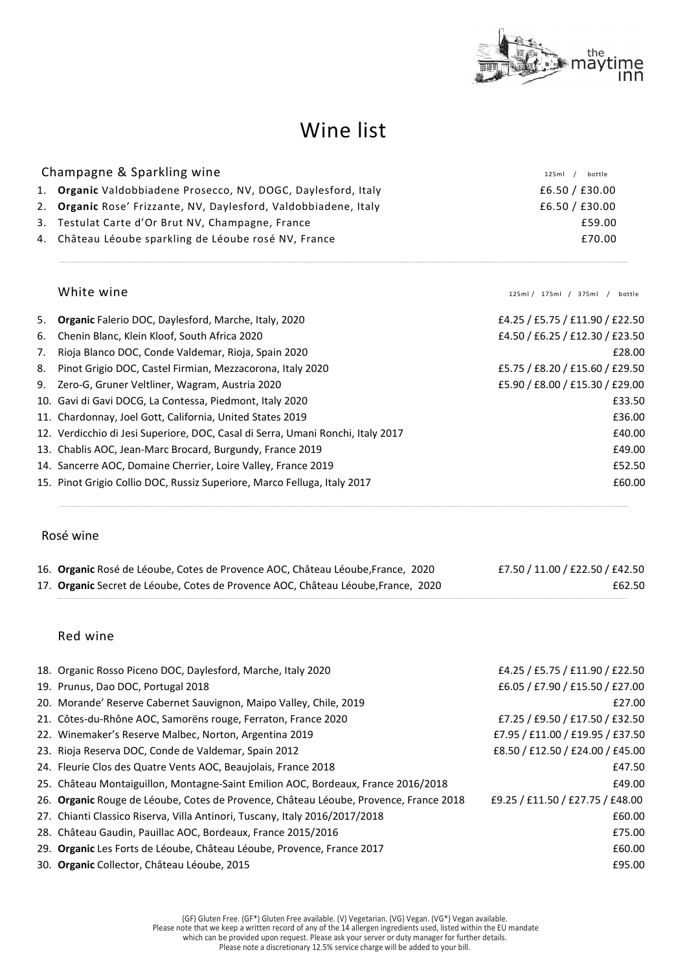

# Wine list

| Champagne & Sparkling wine |                                                                  |                |  |
|----------------------------|------------------------------------------------------------------|----------------|--|
|                            | 1. Organic Valdobbiadene Prosecco, NV, DOGC, Daylesford, Italy   | £6.50 / £30.00 |  |
|                            | 2. Organic Rose' Frizzante, NV, Daylesford, Valdobbiadene, Italy | £6.50 / £30.00 |  |
|                            | 3. Testulat Carte d'Or Brut NV, Champagne, France                | £59.00         |  |
|                            | 4. Château Léoube sparkling de Léoube rosé NV, France            | £70.00         |  |
|                            |                                                                  |                |  |

White wine  $\frac{125 \text{ mil}}{7}$  /  $\frac{375 \text{ ml}}{7}$  /  $\frac{375 \text{ ml}}{7}$  /  $\frac{375 \text{ ml}}{7}$  /  $\frac{375 \text{ ml}}{7}$  /  $\frac{375 \text{ ml}}{7}$ 

| 5. | <b>Organic</b> Falerio DOC, Daylesford, Marche, Italy, 2020                     | £4.25 / £5.75 / £11.90 / £22.50 |
|----|---------------------------------------------------------------------------------|---------------------------------|
| 6. | Chenin Blanc, Klein Kloof, South Africa 2020                                    | £4.50 / £6.25 / £12.30 / £23.50 |
| 7. | Rioja Blanco DOC, Conde Valdemar, Rioja, Spain 2020                             | £28.00                          |
| 8. | Pinot Grigio DOC, Castel Firmian, Mezzacorona, Italy 2020                       | £5.75 / £8.20 / £15.60 / £29.50 |
|    | 9. Zero-G, Gruner Veltliner, Wagram, Austria 2020                               | £5.90 / £8.00 / £15.30 / £29.00 |
|    | 10. Gavi di Gavi DOCG, La Contessa, Piedmont, Italy 2020                        | £33.50                          |
|    | 11. Chardonnay, Joel Gott, California, United States 2019                       | £36.00                          |
|    | 12. Verdicchio di Jesi Superiore, DOC, Casal di Serra, Umani Ronchi, Italy 2017 | £40.00                          |
|    | 13. Chablis AOC, Jean-Marc Brocard, Burgundy, France 2019                       | £49.00                          |
|    | 14. Sancerre AOC, Domaine Cherrier, Loire Valley, France 2019                   | £52.50                          |
|    | 15. Pinot Grigio Collio DOC, Russiz Superiore, Marco Felluga, Italy 2017        | £60.00                          |
|    |                                                                                 |                                 |

## Rosé wine

| 16. Organic Rosé de Léoube, Cotes de Provence AOC, Château Léoube, France, 2020   | £7.50 / 11.00 / £22.50 / £42.50 |
|-----------------------------------------------------------------------------------|---------------------------------|
| 17. Organic Secret de Léoube, Cotes de Provence AOC, Château Léoube, France, 2020 | £62.50                          |

### Red wine

| 18. Organic Rosso Piceno DOC, Daylesford, Marche, Italy 2020                          | £4.25 / £5.75 / £11.90 / £22.50  |
|---------------------------------------------------------------------------------------|----------------------------------|
| 19. Prunus, Dao DOC, Portugal 2018                                                    | £6.05 / £7.90 / £15.50 / £27.00  |
| 20. Morande' Reserve Cabernet Sauvignon, Maipo Valley, Chile, 2019                    | £27.00                           |
| 21. Côtes-du-Rhône AOC, Samorëns rouge, Ferraton, France 2020                         | £7.25 / £9.50 / £17.50 / £32.50  |
| 22. Winemaker's Reserve Malbec, Norton, Argentina 2019                                | £7.95 / £11.00 / £19.95 / £37.50 |
| 23. Rioja Reserva DOC, Conde de Valdemar, Spain 2012                                  | £8.50 / £12.50 / £24.00 / £45.00 |
| 24. Fleurie Clos des Quatre Vents AOC, Beaujolais, France 2018                        | £47.50                           |
| 25. Château Montaiguillon, Montagne-Saint Emilion AOC, Bordeaux, France 2016/2018     | £49.00                           |
| 26. Organic Rouge de Léoube, Cotes de Provence, Château Léoube, Provence, France 2018 | £9.25 / £11.50 / £27.75 / £48.00 |
| 27. Chianti Classico Riserva, Villa Antinori, Tuscany, Italy 2016/2017/2018           | £60.00                           |
| 28. Château Gaudin, Pauillac AOC, Bordeaux, France 2015/2016                          | £75.00                           |
| 29. Organic Les Forts de Léoube, Château Léoube, Provence, France 2017                | £60.00                           |
| 30. Organic Collector, Château Léoube, 2015                                           | £95.00                           |